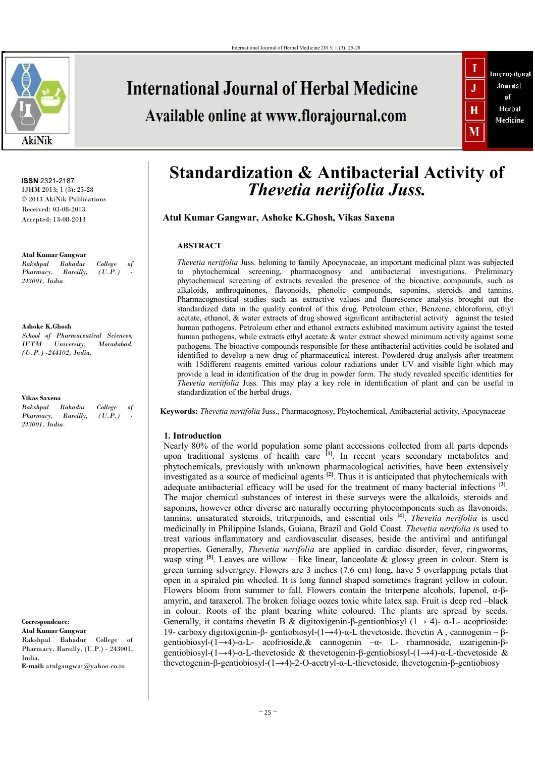

**ISSN** 2321-2187 IJHM 2013; 1 (3): 25-28 © 2013 AkiNik Publications Received: 03-08-2013 Accepted: 13-08-2013

**Atul Kumar Gangwar**  *Rakshpal Bahadur College of Pharmacy. 243001, India.*

**Ashoke K.Ghosh**  *School of Pharmaceutical Sciences, IIniversity Moradabad (U.P.) -244102, India.*

**Vikas Saxena** *Rakshpal Bahadur College of Pharmacy, Bareilly, (U.P.) 243001, India.*

**Correspondence**: **Atul Kumar Gangwar**  Rakshpal Bahadur College of Pharmacy, Bareilly, (U.P.) - 243001, India. **E-mail:** atulgangwar@yahoo.co.in

# **International Journal of Herbal Medicine**

Available online at www.florajournal.com



# **Standardization & Antibacterial Activity of** *Thevetia neriifolia Juss.*

**Atul Kumar Gangwar, Ashoke K.Ghosh, Vikas Saxena** 

# **ABSTRACT**

*Thevetia neriifolia* Juss. beloning to family Apocynaceae, an important medicinal plant was subjected to phytochemical screening, pharmacognosy and antibacterial investigations. Preliminary phytochemical screening of extracts revealed the presence of the bioactive compounds, such as alkaloids, anthroquinones, flavonoids, phenolic compounds, saponins, steroids and tannins. Pharmacognostical studies such as extractive values and fluorescence analysis brought out the standardized data in the quality control of this drug. Petroleum ether, Benzene, chloroform, ethyl acetate, ethanol, & water extracts of drug showed significant antibacterial activity against the tested human pathogens. Petroleum ether and ethanol extracts exhibited maximum activity against the tested human pathogens, while extracts ethyl acetate & water extract showed minimum activity against some pathogens. The bioactive compounds responsible for these antibacterial activities could be isolated and identified to develop a new drug of pharmaceutical interest. Powdered drug analysis after treatment with 15different reagents emitted various colour radiations under UV and visible light which may provide a lead in identification of the drug in powder form. The study revealed specific identities for *Thevetia neriifolia* Juss. This may play a key role in identification of plant and can be useful in standardization of the herbal drugs.

**Keywords:** *Thevetia neriifolia* Juss., Pharmacognosy, Phytochemical, Antibacterial activity, Apocynaceae

## **1. Introduction**

Nearly 80% of the world population some plant accessions collected from all parts depends upon traditional systems of health care <sup>[1]</sup>. In recent years secondary metabolites and phytochemicals, previously with unknown pharmacological activities, have been extensively investigated as a source of medicinal agents **[2]**. Thus it is anticipated that phytochemicals with adequate antibacterial efficacy will be used for the treatment of many bacterial infections <sup>[3]</sup>. The major chemical substances of interest in these surveys were the alkaloids, steroids and saponins, however other diverse are naturally occurring phytocomponents such as flavonoids, tannins, unsaturated steroids, triterpinoids, and essential oils **[4]** . *Thevetia nerifolia* is used medicinally in Philippine Islands, Guiana, Brazil and Gold Coast. *Thevetia nerifolia i*s used to treat various inflammatory and cardiovascular diseases, beside the antiviral and antifungal properties. Generally, *Thevetia nerifolia* are applied in cardiac disorder, fever, ringworms, wasp sting <sup>[5]</sup>. Leaves are willow – like linear, lanceolate & glossy green in colour. Stem is green turning silver/grey. Flowers are 3 inches (7.6 cm) long, have 5 overlapping petals that open in a spiraled pin wheeled. It is long funnel shaped sometimes fragrant yellow in colour. Flowers bloom from summer to fall. Flowers contain the triterpene alcohols, lupenol, α-βamyrin, and taraxerol. The broken foliage oozes toxic white latex sap. Fruit is deep red –black in colour. Roots of the plant bearing white coloured. The plants are spread by seeds. Generally, it contains the vetin B & digitoxigenin-β-gentionbiosyl  $(1 \rightarrow 4)$ -  $\alpha$ -L- acoprioside: 19- carboxy digitoxigenin-β- gentiobiosyl-(1→4)-α-L thevetoside, thevetin A , cannogenin – βgentiobiosyl-(1→4)-α-L- acofrioside,& cannogenin –α- L- rhamnoside, uzarigenin-βgentiobiosyl-(1→4)-α-L-thevetoside & thevetogenin-β-gentiobiosyl-(1→4)-α-L-thevetoside & thevetogenin-β-gentiobiosyl-(1→4)-2-O-acetryl-α-L-thevetoside, thevetogenin-β-gentiobiosy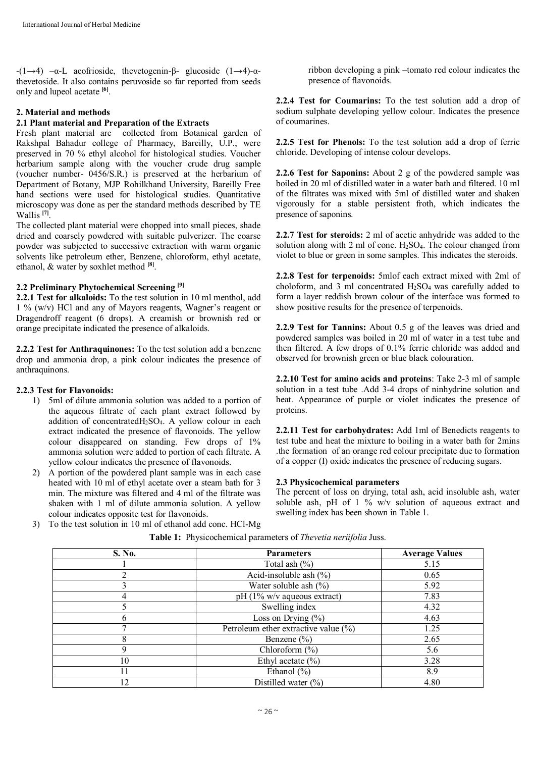-(1→4) –α-L acofrioside, thevetogenin-β- glucoside (1→4)-αthevetoside. It also contains peruvoside so far reported from seeds only and lupeol acetate **[6]** .

# **2. Material and methods**

## **2.1 Plant material and Preparation of the Extracts**

Fresh plant material are collected from Botanical garden of Rakshpal Bahadur college of Pharmacy, Bareilly, U.P., were preserved in 70 % ethyl alcohol for histological studies. Voucher herbarium sample along with the voucher crude drug sample (voucher number- 0456/S.R.) is preserved at the herbarium of Department of Botany, MJP Rohilkhand University, Bareilly Free hand sections were used for histological studies. Quantitative microscopy was done as per the standard methods described by TE Wallis **[7]** .

The collected plant material were chopped into small pieces, shade dried and coarsely powdered with suitable pulverizer. The coarse powder was subjected to successive extraction with warm organic solvents like petroleum ether, Benzene, chloroform, ethyl acetate, ethanol, & water by soxhlet method **[8]** .

#### **2.2 Preliminary Phytochemical Screening [9]**

**2.2.1 Test for alkaloids:** To the test solution in 10 ml menthol, add 1 % (w/v) HCl and any of Mayors reagents, Wagner's reagent or Dragendroff reagent (6 drops). A creamish or brownish red or orange precipitate indicated the presence of alkaloids.

**2.2.2 Test for Anthraquinones:** To the test solution add a benzene drop and ammonia drop, a pink colour indicates the presence of anthraquinons.

#### **2.2.3 Test for Flavonoids:**

- 1) 5ml of dilute ammonia solution was added to a portion of the aqueous filtrate of each plant extract followed by addition of concentrated $H_2SO_4$ . A yellow colour in each extract indicated the presence of flavonoids. The yellow colour disappeared on standing. Few drops of 1% ammonia solution were added to portion of each filtrate. A yellow colour indicates the presence of flavonoids.
- 2) A portion of the powdered plant sample was in each case heated with 10 ml of ethyl acetate over a steam bath for 3 min. The mixture was filtered and 4 ml of the filtrate was shaken with 1 ml of dilute ammonia solution. A yellow colour indicates opposite test for flavonoids. 3) To the test solution in 10 ml of ethanol add conc. HCl-Mg

ribbon developing a pink –tomato red colour indicates the presence of flavonoids.

**2.2.4 Test for Coumarins:** To the test solution add a drop of sodium sulphate developing yellow colour. Indicates the presence of coumarines.

**2.2.5 Test for Phenols:** To the test solution add a drop of ferric chloride. Developing of intense colour develops.

**2.2.6 Test for Saponins:** About 2 g of the powdered sample was boiled in 20 ml of distilled water in a water bath and filtered. 10 ml of the filtrates was mixed with 5ml of distilled water and shaken vigorously for a stable persistent froth, which indicates the presence of saponins.

**2.2.7 Test for steroids:** 2 ml of acetic anhydride was added to the solution along with 2 ml of conc. H2SO4. The colour changed from violet to blue or green in some samples. This indicates the steroids.

**2.2.8 Test for terpenoids:** 5mlof each extract mixed with 2ml of choloform, and 3 ml concentrated  $H<sub>2</sub>SO<sub>4</sub>$  was carefully added to form a layer reddish brown colour of the interface was formed to show positive results for the presence of terpenoids.

**2.2.9 Test for Tannins:** About 0.5 g of the leaves was dried and powdered samples was boiled in 20 ml of water in a test tube and then filtered. A few drops of 0.1% ferric chloride was added and observed for brownish green or blue black colouration.

**2.2.10 Test for amino acids and proteins**: Take 2-3 ml of sample solution in a test tube .Add 3-4 drops of ninhydrine solution and heat. Appearance of purple or violet indicates the presence of proteins.

**2.2.11 Test for carbohydrates:** Add 1ml of Benedicts reagents to test tube and heat the mixture to boiling in a water bath for 2mins .the formation of an orange red colour precipitate due to formation of a copper (I) oxide indicates the presence of reducing sugars.

#### **2.3 Physicochemical parameters**

The percent of loss on drying, total ash, acid insoluble ash, water soluble ash, pH of  $1\%$  w/v solution of aqueous extract and swelling index has been shown in Table 1.

| S. No. | <b>Parameters</b>                        | <b>Average Values</b> |
|--------|------------------------------------------|-----------------------|
|        | Total ash $(\% )$                        | 5.15                  |
|        | Acid-insoluble ash $(\% )$               | 0.65                  |
|        | Water soluble ash $(\%)$                 | 5.92                  |
|        | $pH(1\%$ w/v aqueous extract)            | 7.83                  |
|        | Swelling index                           | 4.32                  |
| b      | Loss on Drying $(\% )$                   | 4.63                  |
| π      | Petroleum ether extractive value $(\% )$ | 1.25                  |
| 8      | Benzene $(\% )$                          | 2.65                  |
| 9      | Chloroform $(\% )$                       | 5.6                   |
| 10     | Ethyl acetate $(\% )$                    | 3.28                  |
| 11     | Ethanol $(\% )$                          | 8.9                   |
| 12     | Distilled water $(\% )$                  | 4.80                  |

**Table 1:** Physicochemical parameters of *Thevetia neriifolia* Juss.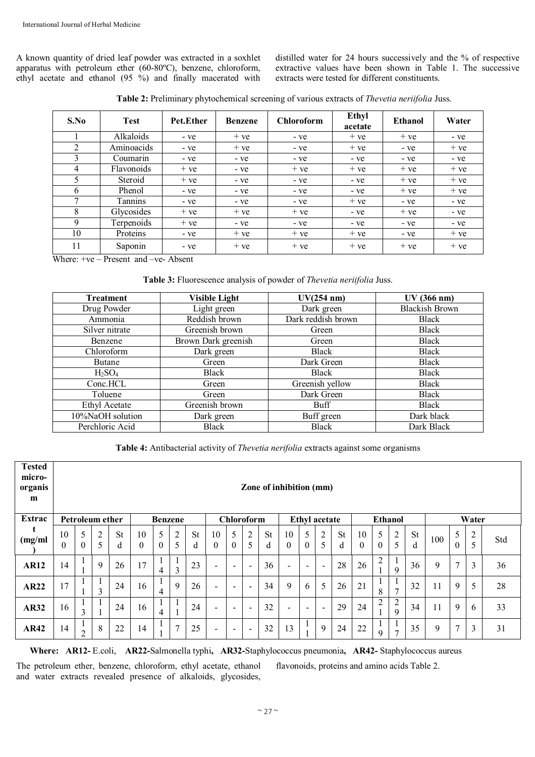A known quantity of dried leaf powder was extracted in a soxhlet apparatus with petroleum ether (60-80ºC), benzene, chloroform, ethyl acetate and ethanol (95 %) and finally macerated with distilled water for 24 hours successively and the % of respective extractive values have been shown in Table 1. The successive extracts were tested for different constituents.

| Table 2: Preliminary phytochemical screening of various extracts of Thevetia neriifolia Juss. |  |
|-----------------------------------------------------------------------------------------------|--|
|                                                                                               |  |

| S.No | <b>Test</b>    | Pet.Ether | <b>Benzene</b> | <b>Chloroform</b> | Ethyl<br>acetate | <b>Ethanol</b> | Water |  |  |
|------|----------------|-----------|----------------|-------------------|------------------|----------------|-------|--|--|
|      | Alkaloids      | - ve      | $+ve$          | - ve              | $+ve$            | $+ve$          | - ve  |  |  |
| 2    | Aminoacids     | - ve      | $+ve$          | - ve              | $+ve$            | - ve           | $+ve$ |  |  |
| 3    | Coumarin       | - ve      | - ve           | - ye              | - ve             | - ve           | - ve  |  |  |
| 4    | Flavonoids     | $+ve$     | - ve           | $+ve$             | $+ve$            | $+ve$          | $+ve$ |  |  |
| 5    | Steroid        | $+ve$     | - ve           | - ye              | - ye             | $+ve$          | $+ve$ |  |  |
| 6    | Phenol         | - ve      | - ve           | - ye              | - ve             | $+ve$          | $+ve$ |  |  |
| 7    | <b>Tannins</b> | - ve      | - ve           | - ve              | $+ve$            | - ve           | - ve  |  |  |
| 8    | Glycosides     | $+ve$     | $+ve$          | $+ve$             | - ve             | $+ve$          | - ve  |  |  |
| 9    | Terpenoids     | $+ve$     | - ve           | - ve              | - ve             | - ve           | - ve  |  |  |
| 10   | Proteins       | - ve      | $+ve$          | $+ve$             | $+ve$            | - ve           | $+ve$ |  |  |
| 11   | Saponin        | - ve      | $+ve$          | $+ve$             | $+ve$            | $+ve$          | $+ve$ |  |  |

Where: +ve – Present and –ve- Absent

**Table 3:** Fluorescence analysis of powder of *Thevetia neriifolia* Juss.

| <b>Treatment</b>     | <b>Visible Light</b> | UV(254 nm)         | UV (366 nm)           |
|----------------------|----------------------|--------------------|-----------------------|
| Drug Powder          | Light green          | Dark green         | <b>Blackish Brown</b> |
| Ammonia              | Reddish brown        | Dark reddish brown | <b>Black</b>          |
| Silver nitrate       | Greenish brown       | Green              | <b>Black</b>          |
| <b>Benzene</b>       | Brown Dark greenish  | Green              | <b>Black</b>          |
| Chloroform           | Dark green           | <b>Black</b>       | <b>Black</b>          |
| <b>Butane</b>        | Green                | Dark Green         | <b>Black</b>          |
| $H_2SO_4$            | <b>Black</b>         | <b>Black</b>       | <b>Black</b>          |
| Conc.HCL             | Green                | Greenish yellow    | <b>Black</b>          |
| Toluene              | Green                | Dark Green         | <b>Black</b>          |
| <b>Ethyl Acetate</b> | Greenish brown       | Buff               | <b>Black</b>          |
| 10%NaOH solution     | Dark green           | Buff green         | Dark black            |
| Perchloric Acid      | <b>Black</b>         | <b>Black</b>       | Dark Black            |

**Table 4:** Antibacterial activity of *Thevetia nerifolia* extracts against some organisms

| <b>Tested</b><br>micro-<br>organis<br>m | Zone of inhibition (mm)                                                                                          |               |                     |                |                |               |                     |                |                          |                          |                          |                |                          |                          |                |                |                |                |                                  |                |     |               |                     |     |
|-----------------------------------------|------------------------------------------------------------------------------------------------------------------|---------------|---------------------|----------------|----------------|---------------|---------------------|----------------|--------------------------|--------------------------|--------------------------|----------------|--------------------------|--------------------------|----------------|----------------|----------------|----------------|----------------------------------|----------------|-----|---------------|---------------------|-----|
| Extrac                                  | <b>Chloroform</b><br><b>Ethanol</b><br><b>Ethyl</b> acetate<br>Water<br><b>Petroleum ether</b><br><b>Benzene</b> |               |                     |                |                |               |                     |                |                          |                          |                          |                |                          |                          |                |                |                |                |                                  |                |     |               |                     |     |
| (mg/ml)                                 | 10<br>$\theta$                                                                                                   | 5<br>$\Omega$ | $\overline{2}$<br>5 | <b>St</b><br>d | 10<br>$\theta$ | 5<br>$\Omega$ | $\overline{2}$<br>5 | <b>St</b><br>d | 10<br>$\Omega$           | 5<br>$\mathbf{0}$        | $\overline{c}$<br>5      | <b>St</b><br>d | 10<br>$\mathbf{0}$       | 5<br>$\theta$            | 2<br>5         | <b>St</b><br>d | 10<br>$\theta$ | 5<br>$\theta$  | $\overline{c}$<br>5              | <b>St</b><br>d | 100 | 5<br>$\Omega$ | $\overline{2}$<br>5 | Std |
| <b>AR12</b>                             | 14                                                                                                               |               | 9                   | 26             | 17             | 4             | 3                   | 23             | $\overline{\phantom{a}}$ | $\overline{\phantom{a}}$ | $\overline{\phantom{a}}$ | 36             | $\overline{\phantom{a}}$ | $\overline{\phantom{a}}$ | $\blacksquare$ | 28             | 26             | 2              | л.<br>$\mathbf{Q}$               | 36             | 9   | 7             | 3                   | 36  |
| <b>AR22</b>                             | 17                                                                                                               |               | $\mathcal{R}$       | 24             | 16             | 4             | 9                   | 26             | $\overline{\phantom{0}}$ | $\overline{\phantom{a}}$ | $\overline{\phantom{0}}$ | 34             | 9                        | 6                        | 5              | 26             | 21             | 8              | $\mathbf{r}$                     | 32             | 11  | 9             | 5                   | 28  |
| <b>AR32</b>                             | 16                                                                                                               | 3             |                     | 24             | 16             | 4             |                     | 24             | $\overline{\phantom{a}}$ | $\overline{\phantom{a}}$ | $\overline{\phantom{a}}$ | 32             | $\overline{\phantom{a}}$ | $\overline{\phantom{a}}$ | $\blacksquare$ | 29             | 24             | $\overline{2}$ | $\overline{c}$<br>$\overline{9}$ | 34             | 11  | 9             | 6                   | 33  |
| <b>AR42</b>                             | 14                                                                                                               | $\mathcal{L}$ | 8                   | 22             | 14             |               | $\mathbf{z}$        | 25             | $\overline{\phantom{0}}$ | $\overline{\phantom{a}}$ | $\overline{\phantom{a}}$ | 32             | 13                       |                          | 9              | 24             | 22             | 9              | $\overline{7}$                   | 35             | 9   | $\tau$        | 3                   | 31  |

 **Where: AR12-** E.coli, **AR22-**Salmonella typhi**, AR32-**Staphylococcus pneumonia**, AR42-** Staphylococcus aureus

The petroleum ether, benzene, chloroform, ethyl acetate, ethanol and water extracts revealed presence of alkaloids, glycosides,

flavonoids, proteins and amino acids Table 2.